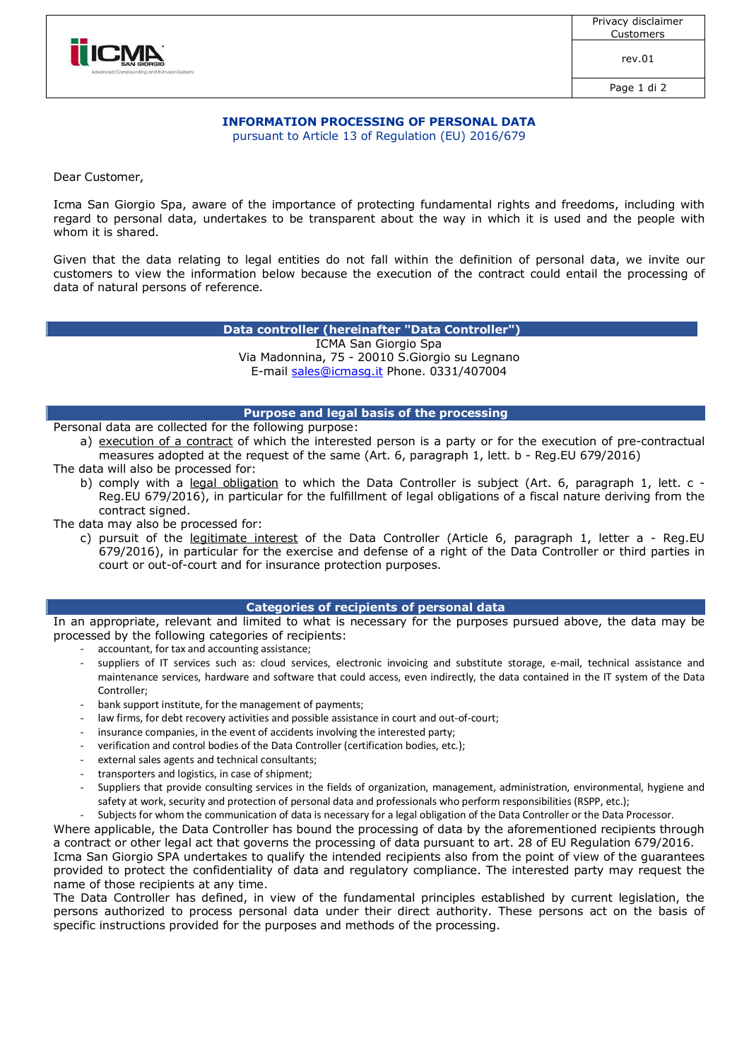



rev.01

Page 1 di 2

## **INFORMATION PROCESSING OF PERSONAL DATA**

pursuant to Article 13 of Regulation (EU) 2016/679

Dear Customer,

Icma San Giorgio Spa, aware of the importance of protecting fundamental rights and freedoms, including with regard to personal data, undertakes to be transparent about the way in which it is used and the people with whom it is shared.

Given that the data relating to legal entities do not fall within the definition of personal data, we invite our customers to view the information below because the execution of the contract could entail the processing of data of natural persons of reference.

**Data controller (hereinafter "Data Controller")**

ICMA San Giorgio Spa Via Madonnina, 75 - 20010 S.Giorgio su Legnano E-mail sales@icmasg.it Phone. 0331/407004

# **Purpose and legal basis of the processing**

Personal data are collected for the following purpose:

- a) execution of a contract of which the interested person is a party or for the execution of pre-contractual measures adopted at the request of the same (Art. 6, paragraph 1, lett. b - Reg.EU 679/2016)
- The data will also be processed for:
	- b) comply with a legal obligation to which the Data Controller is subject (Art. 6, paragraph 1, lett. c -Reg.EU 679/2016), in particular for the fulfillment of legal obligations of a fiscal nature deriving from the contract signed.

The data may also be processed for:

c) pursuit of the legitimate interest of the Data Controller (Article 6, paragraph 1, letter a - Reg.EU 679/2016), in particular for the exercise and defense of a right of the Data Controller or third parties in court or out-of-court and for insurance protection purposes.

### **Categories of recipients of personal data**

In an appropriate, relevant and limited to what is necessary for the purposes pursued above, the data may be processed by the following categories of recipients:

- accountant, for tax and accounting assistance;
	- suppliers of IT services such as: cloud services, electronic invoicing and substitute storage, e-mail, technical assistance and maintenance services, hardware and software that could access, even indirectly, the data contained in the IT system of the Data Controller;
	- bank support institute, for the management of payments;
	- law firms, for debt recovery activities and possible assistance in court and out-of-court;
	- insurance companies, in the event of accidents involving the interested party;
	- verification and control bodies of the Data Controller (certification bodies, etc.);
	- external sales agents and technical consultants;
	- transporters and logistics, in case of shipment;
	- Suppliers that provide consulting services in the fields of organization, management, administration, environmental, hygiene and safety at work, security and protection of personal data and professionals who perform responsibilities (RSPP, etc.);
	- Subjects for whom the communication of data is necessary for a legal obligation of the Data Controller or the Data Processor.

Where applicable, the Data Controller has bound the processing of data by the aforementioned recipients through a contract or other legal act that governs the processing of data pursuant to art. 28 of EU Regulation 679/2016. Icma San Giorgio SPA undertakes to qualify the intended recipients also from the point of view of the guarantees provided to protect the confidentiality of data and regulatory compliance. The interested party may request the name of those recipients at any time.

The Data Controller has defined, in view of the fundamental principles established by current legislation, the persons authorized to process personal data under their direct authority. These persons act on the basis of specific instructions provided for the purposes and methods of the processing.